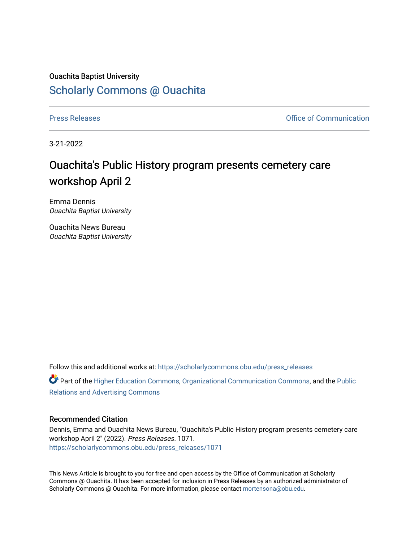## Ouachita Baptist University [Scholarly Commons @ Ouachita](https://scholarlycommons.obu.edu/)

[Press Releases](https://scholarlycommons.obu.edu/press_releases) **Press Releases Communication** 

3-21-2022

## Ouachita's Public History program presents cemetery care workshop April 2

Emma Dennis Ouachita Baptist University

Ouachita News Bureau Ouachita Baptist University

Follow this and additional works at: [https://scholarlycommons.obu.edu/press\\_releases](https://scholarlycommons.obu.edu/press_releases?utm_source=scholarlycommons.obu.edu%2Fpress_releases%2F1071&utm_medium=PDF&utm_campaign=PDFCoverPages)

Part of the [Higher Education Commons,](http://network.bepress.com/hgg/discipline/1245?utm_source=scholarlycommons.obu.edu%2Fpress_releases%2F1071&utm_medium=PDF&utm_campaign=PDFCoverPages) [Organizational Communication Commons,](http://network.bepress.com/hgg/discipline/335?utm_source=scholarlycommons.obu.edu%2Fpress_releases%2F1071&utm_medium=PDF&utm_campaign=PDFCoverPages) and the [Public](http://network.bepress.com/hgg/discipline/336?utm_source=scholarlycommons.obu.edu%2Fpress_releases%2F1071&utm_medium=PDF&utm_campaign=PDFCoverPages) [Relations and Advertising Commons](http://network.bepress.com/hgg/discipline/336?utm_source=scholarlycommons.obu.edu%2Fpress_releases%2F1071&utm_medium=PDF&utm_campaign=PDFCoverPages) 

## Recommended Citation

Dennis, Emma and Ouachita News Bureau, "Ouachita's Public History program presents cemetery care workshop April 2" (2022). Press Releases. 1071. [https://scholarlycommons.obu.edu/press\\_releases/1071](https://scholarlycommons.obu.edu/press_releases/1071?utm_source=scholarlycommons.obu.edu%2Fpress_releases%2F1071&utm_medium=PDF&utm_campaign=PDFCoverPages) 

This News Article is brought to you for free and open access by the Office of Communication at Scholarly Commons @ Ouachita. It has been accepted for inclusion in Press Releases by an authorized administrator of Scholarly Commons @ Ouachita. For more information, please contact [mortensona@obu.edu](mailto:mortensona@obu.edu).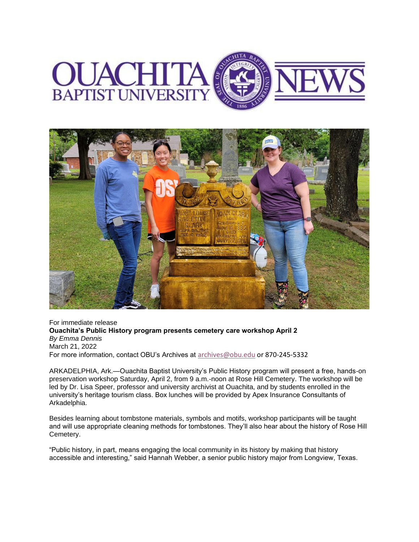



For immediate release **Ouachita's Public History program presents cemetery care workshop April 2** *By Emma Dennis* March 21, 2022 For more information, contact OBU's Archives at [archives@obu.edu](mailto:archives@obu.edu) or 870-245-5332

ARKADELPHIA, Ark.—Ouachita Baptist University's Public History program will present a free, hands-on preservation workshop Saturday, April 2, from 9 a.m.-noon at Rose Hill Cemetery. The workshop will be led by Dr. Lisa Speer, professor and university archivist at Ouachita, and by students enrolled in the university's heritage tourism class. Box lunches will be provided by Apex Insurance Consultants of Arkadelphia.

Besides learning about tombstone materials, symbols and motifs, workshop participants will be taught and will use appropriate cleaning methods for tombstones. They'll also hear about the history of Rose Hill Cemetery.

"Public history, in part, means engaging the local community in its history by making that history accessible and interesting," said Hannah Webber, a senior public history major from Longview, Texas.